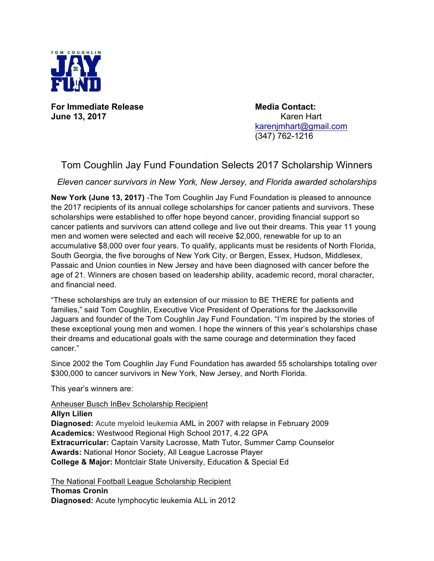

**For Immediate Release Media Contact: June 13, 2017** Karen Hart

karenjmhart@gmail.com (347) 762-1216

## Tom Coughlin Jay Fund Foundation Selects 2017 Scholarship Winners

*Eleven cancer survivors in New York, New Jersey, and Florida awarded scholarships*

**New York (June 13, 2017)** -The Tom Coughlin Jay Fund Foundation is pleased to announce the 2017 recipients of its annual college scholarships for cancer patients and survivors. These scholarships were established to offer hope beyond cancer, providing financial support so cancer patients and survivors can attend college and live out their dreams. This year 11 young men and women were selected and each will receive \$2,000, renewable for up to an accumulative \$8,000 over four years. To qualify, applicants must be residents of North Florida, South Georgia, the five boroughs of New York City, or Bergen, Essex, Hudson, Middlesex, Passaic and Union counties in New Jersey and have been diagnosed with cancer before the age of 21. Winners are chosen based on leadership ability, academic record, moral character, and financial need.

"These scholarships are truly an extension of our mission to BE THERE for patients and families," said Tom Coughlin, Executive Vice President of Operations for the Jacksonville Jaguars and founder of the Tom Coughlin Jay Fund Foundation. "I'm inspired by the stories of these exceptional young men and women. I hope the winners of this year's scholarships chase their dreams and educational goals with the same courage and determination they faced cancer."

Since 2002 the Tom Coughlin Jay Fund Foundation has awarded 55 scholarships totaling over \$300,000 to cancer survivors in New York, New Jersey, and North Florida.

This year's winners are:

Anheuser Busch InBev Scholarship Recipient

**Allyn Lilien Diagnosed:** Acute myeloid leukemia AML in 2007 with relapse in February 2009 **Academics:** Westwood Regional High School 2017, 4.22 GPA **Extracurricular:** Captain Varsity Lacrosse, Math Tutor, Summer Camp Counselor **Awards:** National Honor Society, All League Lacrosse Player **College & Major:** Montclair State University, Education & Special Ed

The National Football League Scholarship Recipient **Thomas Cronin Diagnosed:** Acute lymphocytic leukemia ALL in 2012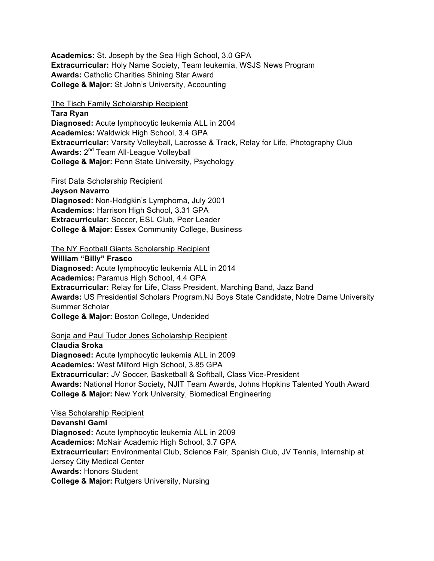**Academics:** St. Joseph by the Sea High School, 3.0 GPA **Extracurricular:** Holy Name Society, Team leukemia, WSJS News Program **Awards:** Catholic Charities Shining Star Award **College & Major:** St John's University, Accounting

The Tisch Family Scholarship Recipient

**Tara Ryan**

**Diagnosed:** Acute lymphocytic leukemia ALL in 2004 **Academics:** Waldwick High School, 3.4 GPA **Extracurricular:** Varsity Volleyball, Lacrosse & Track, Relay for Life, Photography Club **Awards:** 2nd Team All-League Volleyball **College & Major:** Penn State University, Psychology

First Data Scholarship Recipient

**Jeyson Navarro Diagnosed:** Non-Hodgkin's Lymphoma, July 2001 **Academics:** Harrison High School, 3.31 GPA **Extracurricular:** Soccer, ESL Club, Peer Leader **College & Major:** Essex Community College, Business

The NY Football Giants Scholarship Recipient

**William "Billy" Frasco Diagnosed:** Acute lymphocytic leukemia ALL in 2014 **Academics:** Paramus High School, 4.4 GPA **Extracurricular:** Relay for Life, Class President, Marching Band, Jazz Band **Awards:** US Presidential Scholars Program,NJ Boys State Candidate, Notre Dame University Summer Scholar **College & Major:** Boston College, Undecided

Sonja and Paul Tudor Jones Scholarship Recipient

**Claudia Sroka Diagnosed:** Acute lymphocytic leukemia ALL in 2009 **Academics:** West Milford High School, 3.85 GPA **Extracurricular:** JV Soccer, Basketball & Softball, Class Vice-President **Awards:** National Honor Society, NJIT Team Awards, Johns Hopkins Talented Youth Award **College & Major:** New York University, Biomedical Engineering

Visa Scholarship Recipient **Devanshi Gami Diagnosed:** Acute lymphocytic leukemia ALL in 2009 **Academics:** McNair Academic High School, 3.7 GPA **Extracurricular:** Environmental Club, Science Fair, Spanish Club, JV Tennis, Internship at Jersey City Medical Center **Awards:** Honors Student **College & Major:** Rutgers University, Nursing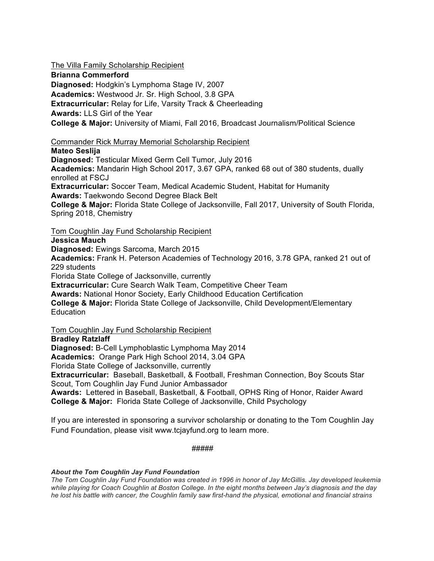The Villa Family Scholarship Recipient

**Brianna Commerford**

**Diagnosed:** Hodgkin's Lymphoma Stage IV, 2007

**Academics:** Westwood Jr. Sr. High School, 3.8 GPA

**Extracurricular:** Relay for Life, Varsity Track & Cheerleading

**Awards:** LLS Girl of the Year

**College & Major:** University of Miami, Fall 2016, Broadcast Journalism/Political Science

Commander Rick Murray Memorial Scholarship Recipient

**Mateo Seslija**

**Diagnosed:** Testicular Mixed Germ Cell Tumor, July 2016 **Academics:** Mandarin High School 2017, 3.67 GPA, ranked 68 out of 380 students, dually enrolled at FSCJ **Extracurricular:** Soccer Team, Medical Academic Student, Habitat for Humanity **Awards:** Taekwondo Second Degree Black Belt **College & Major:** Florida State College of Jacksonville, Fall 2017, University of South Florida, Spring 2018, Chemistry

Tom Coughlin Jay Fund Scholarship Recipient

**Jessica Mauch**

**Diagnosed:** Ewings Sarcoma, March 2015

**Academics:** Frank H. Peterson Academies of Technology 2016, 3.78 GPA, ranked 21 out of 229 students

Florida State College of Jacksonville, currently

**Extracurricular:** Cure Search Walk Team, Competitive Cheer Team

**Awards:** National Honor Society, Early Childhood Education Certification

**College & Major:** Florida State College of Jacksonville, Child Development/Elementary **Education** 

Tom Coughlin Jay Fund Scholarship Recipient

**Bradley Ratzlaff**

**Diagnosed:** B-Cell Lymphoblastic Lymphoma May 2014

**Academics:** Orange Park High School 2014, 3.04 GPA

Florida State College of Jacksonville, currently

**Extracurricular:** Baseball, Basketball, & Football, Freshman Connection, Boy Scouts Star Scout, Tom Coughlin Jay Fund Junior Ambassador

**Awards:** Lettered in Baseball, Basketball, & Football, OPHS Ring of Honor, Raider Award **College & Major:** Florida State College of Jacksonville, Child Psychology

If you are interested in sponsoring a survivor scholarship or donating to the Tom Coughlin Jay Fund Foundation, please visit www.tcjayfund.org to learn more.

#####

## *About the Tom Coughlin Jay Fund Foundation*

*The Tom Coughlin Jay Fund Foundation was created in 1996 in honor of Jay McGillis. Jay developed leukemia while playing for Coach Coughlin at Boston College. In the eight months between Jay's diagnosis and the day he lost his battle with cancer, the Coughlin family saw first-hand the physical, emotional and financial strains*